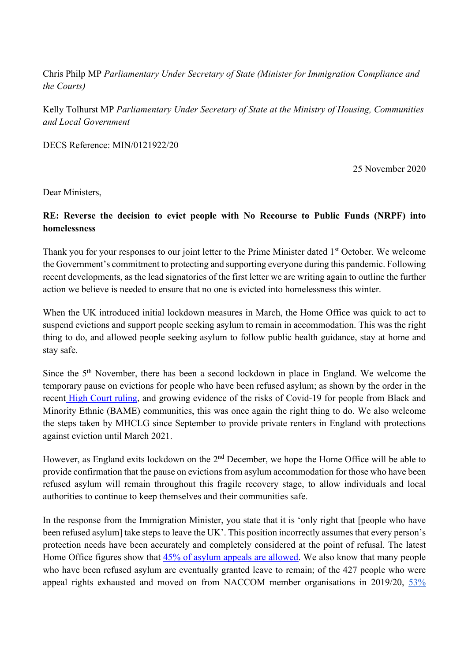Chris Philp MP *Parliamentary Under Secretary of State (Minister for Immigration Compliance and the Courts)*

Kelly Tolhurst MP *Parliamentary Under Secretary of State at the Ministry of Housing, Communities and Local Government*

DECS Reference: MIN/0121922/20

25 November 2020

Dear Ministers,

## **RE: Reverse the decision to evict people with No Recourse to Public Funds (NRPF) into homelessness**

Thank you for your responses to our joint letter to the Prime Minister dated 1<sup>st</sup> October. We welcome the Government's commitment to protecting and supporting everyone during this pandemic. Following recent developments, as the lead signatories of the first letter we are writing again to outline the further action we believe is needed to ensure that no one is evicted into homelessness this winter.

When the UK introduced initial lockdown measures in March, the Home Office was quick to act to suspend evictions and support people seeking asylum to remain in accommodation. This was the right thing to do, and allowed people seeking asylum to follow public health guidance, stay at home and stay safe.

Since the 5th November, there has been a second lockdown in place in England. We welcome the temporary pause on evictions for people who have been refused asylum; as shown by the order in the recent High Court ruling, and growing evidence of the risks of Covid-19 for people from Black and Minority Ethnic (BAME) communities, this was once again the right thing to do. We also welcome the steps taken by MHCLG since September to provide private renters in England with protections against eviction until March 2021.

However, as England exits lockdown on the 2nd December, we hope the Home Office will be able to provide confirmation that the pause on evictions from asylum accommodation for those who have been refused asylum will remain throughout this fragile recovery stage, to allow individuals and local authorities to continue to keep themselves and their communities safe.

In the response from the Immigration Minister, you state that it is 'only right that [people who have been refused asylum] take steps to leave the UK'. This position incorrectly assumes that every person's protection needs have been accurately and completely considered at the point of refusal. The latest Home Office figures show that 45% of asylum appeals are allowed. We also know that many people who have been refused asylum are eventually granted leave to remain; of the 427 people who were appeal rights exhausted and moved on from NACCOM member organisations in 2019/20, 53%